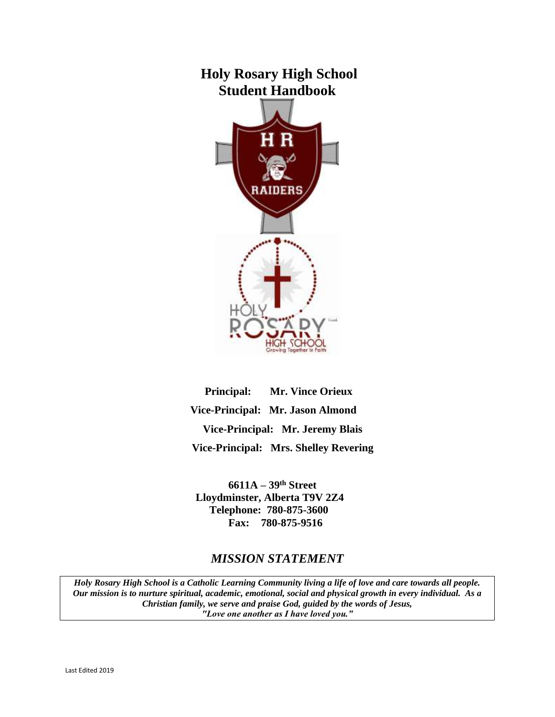# **Holy Rosary High School Student Handbook**



**Principal: Mr. Vince Orieux Vice-Principal: Mr. Jason Almond Vice-Principal: Mr. Jeremy Blais Vice-Principal: Mrs. Shelley Revering**

**6611A – 39th Street Lloydminster, Alberta T9V 2Z4 Telephone: 780-875-3600 Fax: 780-875-9516**

## *MISSION STATEMENT*

*Holy Rosary High School is a Catholic Learning Community living a life of love and care towards all people. Our mission is to nurture spiritual, academic, emotional, social and physical growth in every individual. As a Christian family, we serve and praise God, guided by the words of Jesus, "Love one another as I have loved you."*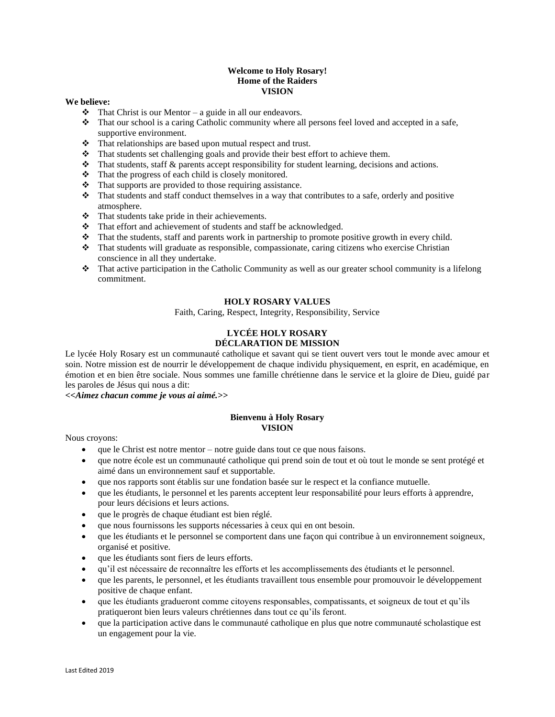## **Welcome to Holy Rosary! Home of the Raiders VISION**

#### **We believe:**

- $\triangle$  That Christ is our Mentor a guide in all our endeavors.
- ❖ That our school is a caring Catholic community where all persons feel loved and accepted in a safe, supportive environment.
- ❖ That relationships are based upon mutual respect and trust.
- ❖ That students set challenging goals and provide their best effort to achieve them.
- ❖ That students, staff & parents accept responsibility for student learning, decisions and actions.
- ❖ That the progress of each child is closely monitored.
- ❖ That supports are provided to those requiring assistance.
- ❖ That students and staff conduct themselves in a way that contributes to a safe, orderly and positive atmosphere.
- ❖ That students take pride in their achievements.
- ❖ That effort and achievement of students and staff be acknowledged.
- ❖ That the students, staff and parents work in partnership to promote positive growth in every child.
- ❖ That students will graduate as responsible, compassionate, caring citizens who exercise Christian conscience in all they undertake.
- ❖ That active participation in the Catholic Community as well as our greater school community is a lifelong commitment.

## **HOLY ROSARY VALUES**

Faith, Caring, Respect, Integrity, Responsibility, Service

## **LYCÉE HOLY ROSARY DÉCLARATION DE MISSION**

Le lycée Holy Rosary est un communauté catholique et savant qui se tient ouvert vers tout le monde avec amour et soin. Notre mission est de nourrir le développement de chaque individu physiquement, en esprit, en académique, en émotion et en bien être sociale. Nous sommes une famille chrétienne dans le service et la gloire de Dieu, guidé par les paroles de Jésus qui nous a dit:

*<<Aimez chacun comme je vous ai aimé.>>*

#### **Bienvenu à Holy Rosary VISION**

Nous croyons:

- que le Christ est notre mentor notre guide dans tout ce que nous faisons.
- que notre école est un communauté catholique qui prend soin de tout et où tout le monde se sent protégé et aimé dans un environnement sauf et supportable.
- que nos rapports sont établis sur une fondation basée sur le respect et la confiance mutuelle.
- que les étudiants, le personnel et les parents acceptent leur responsabilité pour leurs efforts à apprendre, pour leurs décisions et leurs actions.
- que le progrès de chaque étudiant est bien réglé.
- que nous fournissons les supports nécessaries à ceux qui en ont besoin.
- que les étudiants et le personnel se comportent dans une façon qui contribue à un environnement soigneux, organisé et positive.
- que les étudiants sont fiers de leurs efforts.
- qu'il est nécessaire de reconnaître les efforts et les accomplissements des étudiants et le personnel.
- que les parents, le personnel, et les étudiants travaillent tous ensemble pour promouvoir le développement positive de chaque enfant.
- que les étudiants gradueront comme citoyens responsables, compatissants, et soigneux de tout et qu'ils pratiqueront bien leurs valeurs chrétiennes dans tout ce qu'ils feront.
- que la participation active dans le communauté catholique en plus que notre communauté scholastique est un engagement pour la vie.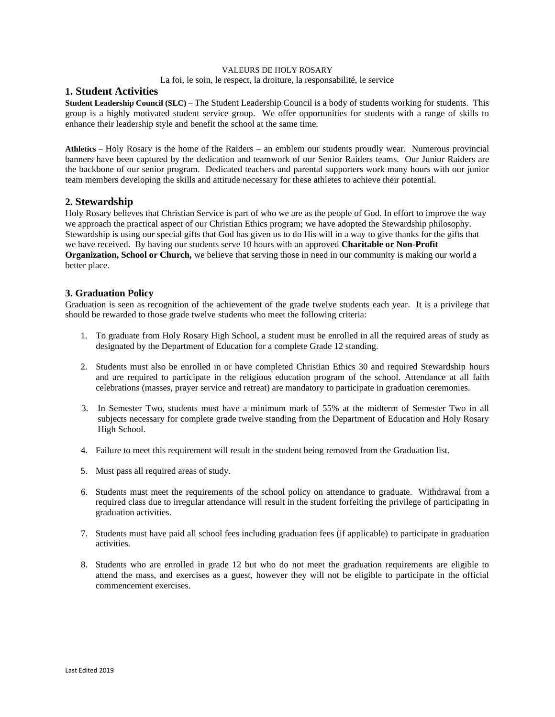## VALEURS DE HOLY ROSARY

La foi, le soin, le respect, la droiture, la responsabilité, le service

## **1. Student Activities**

**Student Leadership Council (SLC) –** The Student Leadership Council is a body of students working for students. This group is a highly motivated student service group. We offer opportunities for students with a range of skills to enhance their leadership style and benefit the school at the same time.

**Athletics –** Holy Rosary is the home of the Raiders – an emblem our students proudly wear. Numerous provincial banners have been captured by the dedication and teamwork of our Senior Raiders teams. Our Junior Raiders are the backbone of our senior program. Dedicated teachers and parental supporters work many hours with our junior team members developing the skills and attitude necessary for these athletes to achieve their potential.

## **2. Stewardship**

Holy Rosary believes that Christian Service is part of who we are as the people of God. In effort to improve the way we approach the practical aspect of our Christian Ethics program; we have adopted the Stewardship philosophy. Stewardship is using our special gifts that God has given us to do His will in a way to give thanks for the gifts that we have received. By having our students serve 10 hours with an approved **Charitable or Non-Profit Organization, School or Church,** we believe that serving those in need in our community is making our world a better place.

## **3. Graduation Policy**

Graduation is seen as recognition of the achievement of the grade twelve students each year. It is a privilege that should be rewarded to those grade twelve students who meet the following criteria:

- 1. To graduate from Holy Rosary High School, a student must be enrolled in all the required areas of study as designated by the Department of Education for a complete Grade 12 standing.
- 2. Students must also be enrolled in or have completed Christian Ethics 30 and required Stewardship hours and are required to participate in the religious education program of the school. Attendance at all faith celebrations (masses, prayer service and retreat) are mandatory to participate in graduation ceremonies.
- 3. In Semester Two, students must have a minimum mark of 55% at the midterm of Semester Two in all subjects necessary for complete grade twelve standing from the Department of Education and Holy Rosary High School.
- 4. Failure to meet this requirement will result in the student being removed from the Graduation list.
- 5. Must pass all required areas of study.
- 6. Students must meet the requirements of the school policy on attendance to graduate. Withdrawal from a required class due to irregular attendance will result in the student forfeiting the privilege of participating in graduation activities.
- 7. Students must have paid all school fees including graduation fees (if applicable) to participate in graduation activities.
- 8. Students who are enrolled in grade 12 but who do not meet the graduation requirements are eligible to attend the mass, and exercises as a guest, however they will not be eligible to participate in the official commencement exercises.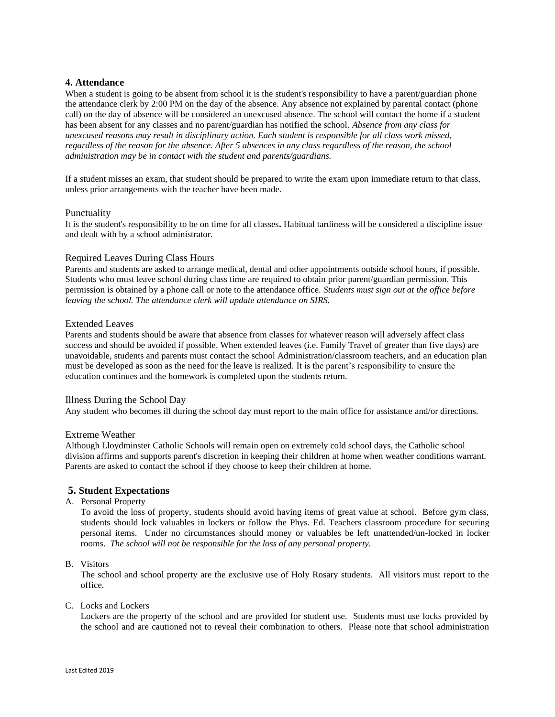## **4. Attendance**

When a student is going to be absent from school it is the student's responsibility to have a parent/guardian phone the attendance clerk by 2:00 PM on the day of the absence*.* Any absence not explained by parental contact (phone call) on the day of absence will be considered an unexcused absence. The school will contact the home if a student has been absent for any classes and no parent/guardian has notified the school*. Absence from any class for unexcused reasons may result in disciplinary action. Each student is responsible for all class work missed, regardless of the reason for the absence. After 5 absences in any class regardless of the reason, the school administration may be in contact with the student and parents/guardians.*

If a student misses an exam, that student should be prepared to write the exam upon immediate return to that class, unless prior arrangements with the teacher have been made.

#### Punctuality

It is the student's responsibility to be on time for all classes**.** Habitual tardiness will be considered a discipline issue and dealt with by a school administrator.

#### Required Leaves During Class Hours

Parents and students are asked to arrange medical, dental and other appointments outside school hours, if possible. Students who must leave school during class time are required to obtain prior parent/guardian permission. This permission is obtained by a phone call or note to the attendance office. *Students must sign out at the office before leaving the school. The attendance clerk will update attendance on SIRS.*

#### Extended Leaves

Parents and students should be aware that absence from classes for whatever reason will adversely affect class success and should be avoided if possible. When extended leaves (i.e. Family Travel of greater than five days) are unavoidable, students and parents must contact the school Administration/classroom teachers, and an education plan must be developed as soon as the need for the leave is realized. It is the parent's responsibility to ensure the education continues and the homework is completed upon the students return.

#### Illness During the School Day

Any student who becomes ill during the school day must report to the main office for assistance and/or directions.

#### Extreme Weather

Although Lloydminster Catholic Schools will remain open on extremely cold school days, the Catholic school division affirms and supports parent's discretion in keeping their children at home when weather conditions warrant. Parents are asked to contact the school if they choose to keep their children at home.

## **5. Student Expectations**

A. Personal Property

To avoid the loss of property, students should avoid having items of great value at school. Before gym class, students should lock valuables in lockers or follow the Phys. Ed. Teachers classroom procedure for securing personal items. Under no circumstances should money or valuables be left unattended/un-locked in locker rooms. *The school will not be responsible for the loss of any personal property.*

#### B. Visitors

The school and school property are the exclusive use of Holy Rosary students. All visitors must report to the office.

C. Locks and Lockers

Lockers are the property of the school and are provided for student use. Students must use locks provided by the school and are cautioned not to reveal their combination to others. Please note that school administration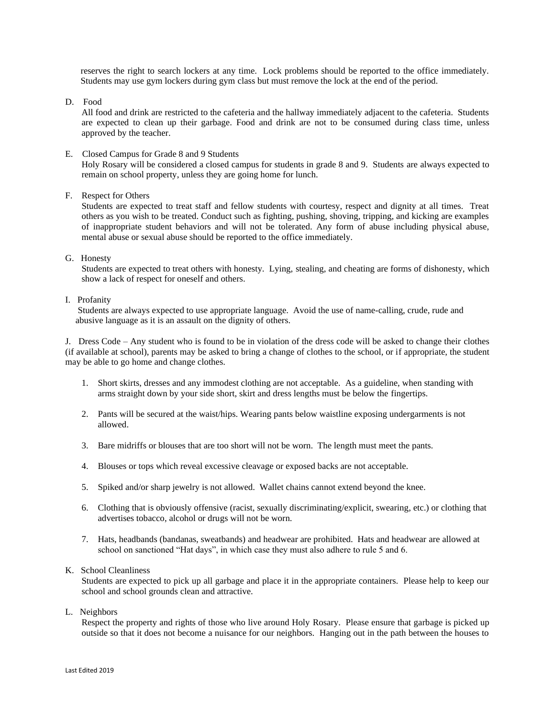reserves the right to search lockers at any time. Lock problems should be reported to the office immediately. Students may use gym lockers during gym class but must remove the lock at the end of the period.

D. Food

All food and drink are restricted to the cafeteria and the hallway immediately adjacent to the cafeteria. Students are expected to clean up their garbage. Food and drink are not to be consumed during class time, unless approved by the teacher.

#### E. Closed Campus for Grade 8 and 9 Students

Holy Rosary will be considered a closed campus for students in grade 8 and 9. Students are always expected to remain on school property, unless they are going home for lunch.

## F. Respect for Others

Students are expected to treat staff and fellow students with courtesy, respect and dignity at all times. Treat others as you wish to be treated. Conduct such as fighting, pushing, shoving, tripping, and kicking are examples of inappropriate student behaviors and will not be tolerated. Any form of abuse including physical abuse, mental abuse or sexual abuse should be reported to the office immediately.

G. Honesty

Students are expected to treat others with honesty. Lying, stealing, and cheating are forms of dishonesty, which show a lack of respect for oneself and others.

## I. Profanity

Students are always expected to use appropriate language. Avoid the use of name-calling, crude, rude and abusive language as it is an assault on the dignity of others.

J. Dress Code – Any student who is found to be in violation of the dress code will be asked to change their clothes (if available at school), parents may be asked to bring a change of clothes to the school, or if appropriate, the student may be able to go home and change clothes.

- 1. Short skirts, dresses and any immodest clothing are not acceptable. As a guideline, when standing with arms straight down by your side short, skirt and dress lengths must be below the fingertips.
- 2. Pants will be secured at the waist/hips. Wearing pants below waistline exposing undergarments is not allowed.
- 3. Bare midriffs or blouses that are too short will not be worn. The length must meet the pants.
- 4. Blouses or tops which reveal excessive cleavage or exposed backs are not acceptable.
- 5. Spiked and/or sharp jewelry is not allowed. Wallet chains cannot extend beyond the knee.
- 6. Clothing that is obviously offensive (racist, sexually discriminating/explicit, swearing, etc.) or clothing that advertises tobacco, alcohol or drugs will not be worn.
- 7. Hats, headbands (bandanas, sweatbands) and headwear are prohibited. Hats and headwear are allowed at school on sanctioned "Hat days", in which case they must also adhere to rule 5 and 6.

#### K. School Cleanliness

Students are expected to pick up all garbage and place it in the appropriate containers. Please help to keep our school and school grounds clean and attractive.

L. Neighbors

Respect the property and rights of those who live around Holy Rosary. Please ensure that garbage is picked up outside so that it does not become a nuisance for our neighbors. Hanging out in the path between the houses to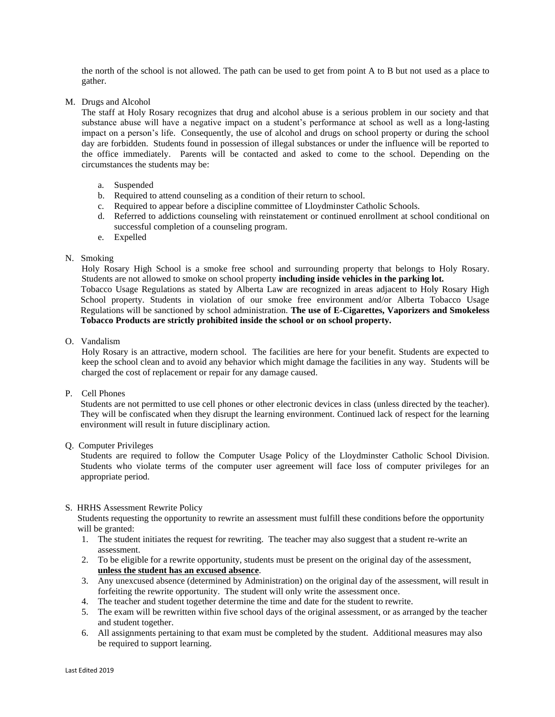the north of the school is not allowed. The path can be used to get from point A to B but not used as a place to gather.

M. Drugs and Alcohol

The staff at Holy Rosary recognizes that drug and alcohol abuse is a serious problem in our society and that substance abuse will have a negative impact on a student's performance at school as well as a long-lasting impact on a person's life. Consequently, the use of alcohol and drugs on school property or during the school day are forbidden. Students found in possession of illegal substances or under the influence will be reported to the office immediately. Parents will be contacted and asked to come to the school. Depending on the circumstances the students may be:

- a. Suspended
- b. Required to attend counseling as a condition of their return to school.
- c. Required to appear before a discipline committee of Lloydminster Catholic Schools.
- d. Referred to addictions counseling with reinstatement or continued enrollment at school conditional on successful completion of a counseling program.
- e. Expelled

#### N. Smoking

Holy Rosary High School is a smoke free school and surrounding property that belongs to Holy Rosary. Students are not allowed to smoke on school property **including inside vehicles in the parking lot.** Tobacco Usage Regulations as stated by Alberta Law are recognized in areas adjacent to Holy Rosary High School property. Students in violation of our smoke free environment and/or Alberta Tobacco Usage Regulations will be sanctioned by school administration. **The use of E-Cigarettes, Vaporizers and Smokeless Tobacco Products are strictly prohibited inside the school or on school property.**

O. Vandalism

Holy Rosary is an attractive, modern school. The facilities are here for your benefit. Students are expected to keep the school clean and to avoid any behavior which might damage the facilities in any way. Students will be charged the cost of replacement or repair for any damage caused.

## P. Cell Phones

Students are not permitted to use cell phones or other electronic devices in class (unless directed by the teacher). They will be confiscated when they disrupt the learning environment. Continued lack of respect for the learning environment will result in future disciplinary action.

Q. Computer Privileges

Students are required to follow the Computer Usage Policy of the Lloydminster Catholic School Division. Students who violate terms of the computer user agreement will face loss of computer privileges for an appropriate period.

## S. HRHS Assessment Rewrite Policy

Students requesting the opportunity to rewrite an assessment must fulfill these conditions before the opportunity will be granted:

- 1. The student initiates the request for rewriting. The teacher may also suggest that a student re-write an assessment.
- 2. To be eligible for a rewrite opportunity, students must be present on the original day of the assessment, **unless the student has an excused absence**.
- 3. Any unexcused absence (determined by Administration) on the original day of the assessment, will result in forfeiting the rewrite opportunity. The student will only write the assessment once.
- 4. The teacher and student together determine the time and date for the student to rewrite.
- 5. The exam will be rewritten within five school days of the original assessment, or as arranged by the teacher and student together.
- 6. All assignments pertaining to that exam must be completed by the student. Additional measures may also be required to support learning.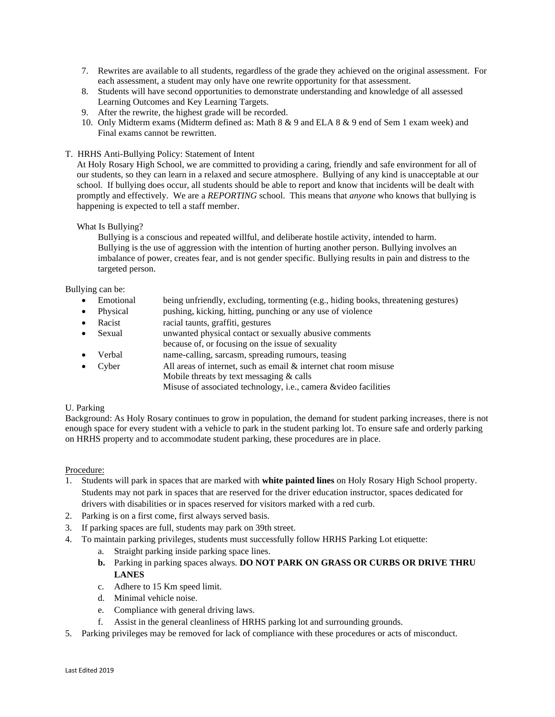- 7. Rewrites are available to all students, regardless of the grade they achieved on the original assessment. For each assessment, a student may only have one rewrite opportunity for that assessment.
- 8. Students will have second opportunities to demonstrate understanding and knowledge of all assessed Learning Outcomes and Key Learning Targets.
- 9. After the rewrite, the highest grade will be recorded.
- 10. Only Midterm exams (Midterm defined as: Math 8 & 9 and ELA 8 & 9 end of Sem 1 exam week) and Final exams cannot be rewritten.
- T. HRHS Anti-Bullying Policy: Statement of Intent

At Holy Rosary High School, we are committed to providing a caring, friendly and safe environment for all of our students, so they can learn in a relaxed and secure atmosphere. Bullying of any kind is unacceptable at our school. If bullying does occur, all students should be able to report and know that incidents will be dealt with promptly and effectively. We are a *REPORTING* school. This means that *anyone* who knows that bullying is happening is expected to tell a staff member.

## What Is Bullying?

 Bullying is a conscious and repeated willful, and deliberate hostile activity, intended to harm. Bullying is the use of aggression with the intention of hurting another person. Bullying involves an imbalance of power, creates fear, and is not gender specific. Bullying results in pain and distress to the targeted person.

Bullying can be:

- Emotional being unfriendly, excluding, tormenting (e.g., hiding books, threatening gestures)
- Physical pushing, kicking, hitting, punching or any use of violence
- Racist racial taunts, graffiti, gestures
- Sexual unwanted physical contact or sexually abusive comments
- because of, or focusing on the issue of sexuality
- Verbal name-calling, sarcasm, spreading rumours, teasing
- Cyber All areas of internet, such as email & internet chat room misuse Mobile threats by text messaging & calls Misuse of associated technology, i.e., camera &video facilities

## U. Parking

Background: As Holy Rosary continues to grow in population, the demand for student parking increases, there is not enough space for every student with a vehicle to park in the student parking lot. To ensure safe and orderly parking on HRHS property and to accommodate student parking, these procedures are in place.

## Procedure:

- 1. Students will park in spaces that are marked with **white painted lines** on Holy Rosary High School property. Students may not park in spaces that are reserved for the driver education instructor, spaces dedicated for drivers with disabilities or in spaces reserved for visitors marked with a red curb.
- 2. Parking is on a first come, first always served basis.
- 3. If parking spaces are full, students may park on 39th street.
- 4. To maintain parking privileges, students must successfully follow HRHS Parking Lot etiquette:
	- a. Straight parking inside parking space lines.
	- **b.** Parking in parking spaces always. **DO NOT PARK ON GRASS OR CURBS OR DRIVE THRU LANES**
	- c. Adhere to 15 Km speed limit.
	- d. Minimal vehicle noise.
	- e. Compliance with general driving laws.
	- f. Assist in the general cleanliness of HRHS parking lot and surrounding grounds.
- 5. Parking privileges may be removed for lack of compliance with these procedures or acts of misconduct.